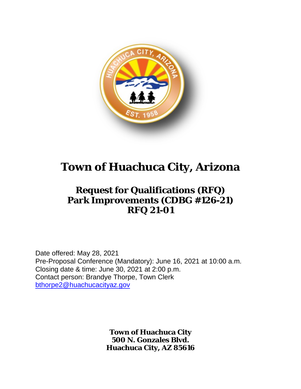

# **Town of Huachuca City, Arizona**

## **Request for Qualifications (RFQ) Park Improvements (CDBG #126-21) RFQ 21-01**

Date offered: May 28, 2021 Pre-Proposal Conference (Mandatory): June 16, 2021 at 10:00 a.m. Closing date & time: June 30, 2021 at 2:00 p.m. Contact person: Brandye Thorpe, Town Clerk [bthorpe2@huachucacityaz.gov](mailto:bthorpe2@huachucacityaz.gov)

> **Town of Huachuca City 500 N. Gonzales Blvd. Huachuca City, AZ 85616**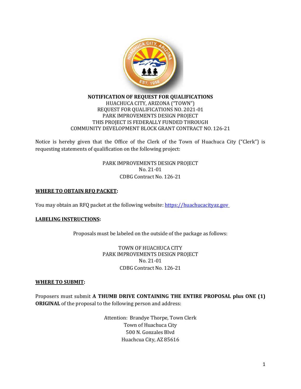

#### **NOTIFICATION OF REQUEST FOR QUALIFICATIONS** HUACHUCA CITY, ARIZONA ("TOWN") REQUEST FOR QUALIFICATIONS NO. 2021-01 PARK IMPROVEMENTS DESIGN PROJECT THIS PROJECT IS FEDERALLY FUNDED THROUGH COMMUNITY DEVELOPMENT BLOCK GRANT CONTRACT NO. 126-21

Notice is hereby given that the Office of the Clerk of the Town of Huachuca City ("Clerk") is requesting statements of qualification on the following project:

> PARK IMPROVEMENTS DESIGN PROJECT No. 21-01 CDBG Contract No. 126-21

#### **WHERE TO OBTAIN RFQ PACKET:**

You may obtain an RFQ packet at the following website: [https://huachucacityaz.gov](https://huachucacityaz.gov/)

#### **LABELING INSTRUCTIONS:**

Proposals must be labeled on the outside of the package as follows:

TOWN OF HUACHUCA CITY PARK IMPROVEMENTS DESIGN PROJECT No. 21-01 CDBG Contract No. 126-21

#### **WHERE TO SUBMIT:**

Proposers must submit **A THUMB DRIVE CONTAINING THE ENTIRE PROPOSAL plus ONE (1) ORIGINAL** of the proposal to the following person and address:

> Attention: Brandye Thorpe, Town Clerk Town of Huachuca City 500 N. Gonzales Blvd Huachcua City, AZ 85616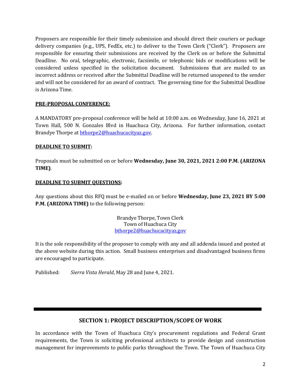Proposers are responsible for their timely submission and should direct their couriers or package delivery companies (e.g., UPS, FedEx, etc.) to deliver to the Town Clerk ("Clerk"). Proposers are responsible for ensuring their submissions are received by the Clerk on or before the Submittal Deadline. No oral, telegraphic, electronic, facsimile, or telephonic bids or modifications will be considered unless specified in the solicitation document. Submissions that are mailed to an incorrect address or received after the Submittal Deadline will be returned unopened to the sender and will not be considered for an award of contract. The governing time for the Submittal Deadline is Arizona Time.

## **PRE-PROPOSAL CONFERENCE:**

A MANDATORY pre-proposal conference will be held at 10:00 a.m. on Wednesday, June 16, 2021 at Town Hall, 500 N. Gonzales Blvd in Huachuca City, Arizona. For further information, contact Brandye Thorpe at **bthorpe2@huachucacityaz.gov.** 

#### **DEADLINE TO SUBMIT:**

Proposals must be submitted on or before **Wednesday, June 30, 2021, 2021 2:00 P.M. (ARIZONA TIME)**.

## **DEADLINE TO SUBMIT QUESTIONS:**

Any questions about this RFQ must be e-mailed on or before **Wednesday, June 23, 2021 BY 5:00 P.M. (ARIZONA TIME)** to the following person:

> Brandye Thorpe, Town Clerk Town of Huachuca City [bthorpe2@huachucacityaz.gov](mailto:bthorpe2@huachucacityaz.gov)

It is the sole responsibility of the proposer to comply with any and all addenda issued and posted at the above website during this action. Small business enterprises and disadvantaged business firms are encouraged to participate.

Published: *Sierra Vista Herald*, May 28 and June 4, 2021.

## **SECTION 1: PROJECT DESCRIPTION/SCOPE OF WORK**

In accordance with the Town of Huachuca City's procurement regulations and Federal Grant requirements, the Town is soliciting professional architects to provide design and construction management for improvements to public parks throughout the Town. The Town of Huachuca City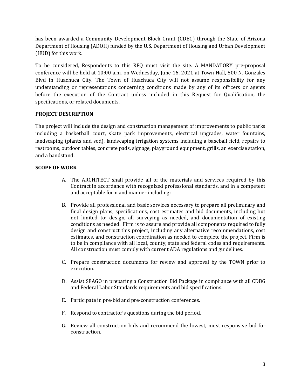has been awarded a Community Development Block Grant (CDBG) through the State of Arizona Department of Housing (ADOH) funded by the U.S. Department of Housing and Urban Development (HUD) for this work.

To be considered, Respondents to this RFQ must visit the site. A MANDATORY pre-proposal conference will be held at 10:00 a.m. on Wednesday, June 16, 2021 at Town Hall, 500 N. Gonzales Blvd in Huachuca City. The Town of Huachuca City will not assume responsibility for any understanding or representations concerning conditions made by any of its officers or agents before the execution of the Contract unless included in this Request for Qualification, the specifications, or related documents.

#### **PROJECT DESCRIPTION**

The project will include the design and construction management of improvements to public parks including a basketball court, skate park improvements, electrical upgrades, water fountains, landscaping (plants and sod), landscaping irrigation systems including a baseball field, repairs to restrooms, outdoor tables, concrete pads, signage, playground equipment, grills, an exercise station, and a bandstand.

## **SCOPE OF WORK**

- A. The ARCHITECT shall provide all of the materials and services required by this Contract in accordance with recognized professional standards, and in a competent and acceptable form and manner including:
- B. Provide all professional and basic services necessary to prepare all preliminary and final design plans, specifications, cost estimates and bid documents, including but not limited to: design, all surveying as needed, and documentation of existing conditions as needed. Firm is to assure and provide all components required to fully design and construct this project, including any alternative recommendations, cost estimates, and construction coordination as needed to complete the project. Firm is to be in compliance with all local, county, state and federal codes and requirements. All construction must comply with current ADA regulations and guidelines.
- C. Prepare construction documents for review and approval by the TOWN prior to execution.
- D. Assist SEAGO in preparing a Construction Bid Package in compliance with all CDBG and Federal Labor Standards requirements and bid specifications.
- E. Participate in pre-bid and pre-construction conferences.
- F. Respond to contractor's questions during the bid period.
- G. Review all construction bids and recommend the lowest, most responsive bid for construction.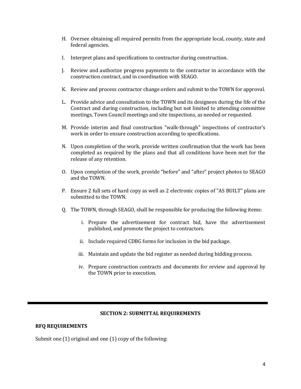- H. Oversee obtaining all required permits from the appropriate local, county, state and federal agencies.
- I. Interpret plans and specifications to contractor during construction.
- J. Review and authorize progress payments to the contractor in accordance with the construction contract, and in coordination with SEAGO.
- K. Review and process contractor change orders and submit to the TOWN for approval.
- L. Provide advice and consultation to the TOWN and its designees during the life of the Contract and during construction, including but not limited to attending committee meetings, Town Council meetings and site inspections, as needed or requested.
- M. Provide interim and final construction "walk-through" inspections of contractor's work in order to ensure construction according to specifications.
- N. Upon completion of the work, provide written confirmation that the work has been completed as required by the plans and that all conditions have been met for the release of any retention.
- O. Upon completion of the work, provide "before" and "after" project photos to SEAGO and the TOWN.
- P. Ensure 2 full sets of hard copy as well as 2 electronic copies of "AS BUILT" plans are submitted to the TOWN.
- Q. The TOWN, through SEAGO, shall be responsible for producing the following items:
	- i. Prepare the advertisement for contract bid, have the advertisement published, and promote the project to contractors.
	- ii. Include required CDBG forms for inclusion in the bid package.
	- iii. Maintain and update the bid register as needed during bidding process.
	- iv. Prepare construction contracts and documents for review and approval by the TOWN prior to execution.

#### **SECTION 2: SUBMITTAL REQUIREMENTS**

#### **RFQ REQUIREMENTS**

Submit one (1) original and one (1) copy of the following: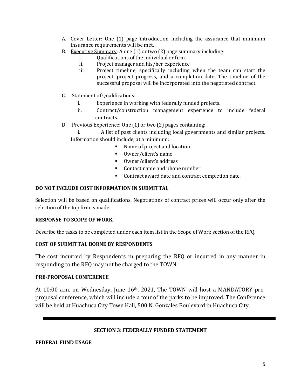- A. Cover Letter: One (1) page introduction including the assurance that minimum insurance requirements will be met.
- B. Executive Summary: A one  $(1)$  or two  $(2)$  page summary including:<br>i.e. Oualifications of the individual or firm.
	- i. Qualifications of the individual or firm.<br>ii. Project manager and his/her experience
	- ii. Project manager and his/her experience<br>iii. Project timeline, specifically including
	- Project timeline, specifically including when the team can start the project, project progress, and a completion date. The timeline of the successful proposal will be incorporated into the negotiated contract.
- C. Statement of Qualifications:
	- i. Experience in working with federally funded projects.
	- ii. Contract/construction management experience to include federal contracts.
- D. Previous Experience: One (1) or two (2) pages containing:
	- i. A list of past clients including local governments and similar projects. Information should include, at a minimum:
		- Name of project and location
		- Owner/client's name
		- Owner/client's address
		- Contact name and phone number
		- Contract award date and contract completion date.

## **DO NOT INCLUDE COST INFORMATION IN SUBMITTAL**

Selection will be based on qualifications. Negotiations of contract prices will occur only after the selection of the top firm is made.

#### **RESPONSE TO SCOPE OF WORK**

Describe the tasks to be completed under each item list in the Scope of Work section of the RFQ.

#### **COST OF SUBMITTAL BORNE BY RESPONDENTS**

The cost incurred by Respondents in preparing the RFQ or incurred in any manner in responding to the RFQ may not be charged to the TOWN.

## **PRE-PROPOSAL CONFERENCE**

At 10:00 a.m. on Wednesday, June  $16<sup>th</sup>$ , 2021, The TOWN will host a MANDATORY preproposal conference, which will include a tour of the parks to be improved. The Conference will be held at Huachuca City Town Hall, 500 N. Gonzales Boulevard in Huachuca City.

#### **SECTION 3: FEDERALLY FUNDED STATEMENT**

#### **FEDERAL FUND USAGE**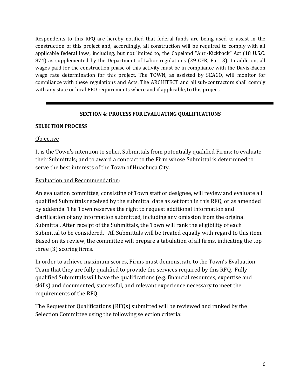Respondents to this RFQ are hereby notified that federal funds are being used to assist in the construction of this project and, accordingly, all construction will be required to comply with all applicable federal laws, including, but not limited to, the Copeland "Anti-Kickback" Act (18 U.S.C. 874) as supplemented by the Department of Labor regulations (29 CFR, Part 3). In addition, all wages paid for the construction phase of this activity must be in compliance with the Davis-Bacon wage rate determination for this project. The TOWN, as assisted by SEAGO, will monitor for compliance with these regulations and Acts. The ARCHITECT and all sub-contractors shall comply with any state or local EEO requirements where and if applicable, to this project.

## **SECTION 4: PROCESS FOR EVALUATING QUALIFICATIONS**

#### **SELECTION PROCESS**

#### **Objective**

It is the Town's intention to solicit Submittals from potentially qualified Firms; to evaluate their Submittals; and to award a contract to the Firm whose Submittal is determined to serve the best interests of the Town of Huachuca City.

## Evaluation and Recommendation:

An evaluation committee, consisting of Town staff or designee, will review and evaluate all qualified Submittals received by the submittal date as set forth in this RFQ, or as amended by addenda. The Town reserves the right to request additional information and clarification of any information submitted, including any omission from the original Submittal. After receipt of the Submittals, the Town will rank the eligibility of each Submittal to be considered. All Submittals will be treated equally with regard to this item. Based on its review, the committee will prepare a tabulation of all firms, indicating the top three (3) scoring firms.

In order to achieve maximum scores, Firms must demonstrate to the Town's Evaluation Team that they are fully qualified to provide the services required by this RFQ. Fully qualified Submittals will have the qualifications (e.g. financial resources, expertise and skills) and documented, successful, and relevant experience necessary to meet the requirements of the RFQ.

The Request for Qualifications (RFQs) submitted will be reviewed and ranked by the Selection Committee using the following selection criteria: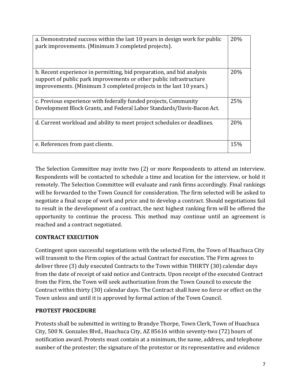| a. Demonstrated success within the last 10 years in design work for public<br>park improvements. (Minimum 3 completed projects).                                                                                  | 20% |
|-------------------------------------------------------------------------------------------------------------------------------------------------------------------------------------------------------------------|-----|
| b. Recent experience in permitting, bid preparation, and bid analysis<br>support of public park improvements or other public infrastructure<br>improvements. (Minimum 3 completed projects in the last 10 years.) | 20% |
| c. Previous experience with federally funded projects, Community                                                                                                                                                  | 25% |
| Development Block Grants, and Federal Labor Standards/Davis-Bacon Act.                                                                                                                                            |     |
| d. Current workload and ability to meet project schedules or deadlines.                                                                                                                                           | 20% |
| e. References from past clients.                                                                                                                                                                                  | 15% |

The Selection Committee may invite two (2) or more Respondents to attend an interview. Respondents will be contacted to schedule a time and location for the interview, or hold it remotely. The Selection Committee will evaluate and rank firms accordingly. Final rankings will be forwarded to the Town Council for consideration. The firm selected will be asked to negotiate a final scope of work and price and to develop a contract. Should negotiations fail to result in the development of a contract, the next highest ranking firm will be offered the opportunity to continue the process. This method may continue until an agreement is reached and a contract negotiated.

## **CONTRACT EXECUTION**

Contingent upon successful negotiations with the selected Firm, the Town of Huachuca City will transmit to the Firm copies of the actual Contract for execution. The Firm agrees to deliver three (3) duly executed Contracts to the Town within THIRTY (30) calendar days from the date of receipt of said notice and Contracts. Upon receipt of the executed Contract from the Firm, the Town will seek authorization from the Town Council to execute the Contract within thirty (30) calendar days. The Contract shall have no force or effect on the Town unless and until it is approved by formal action of the Town Council.

## **PROTEST PROCEDURE**

Protests shall be submitted in writing to Brandye Thorpe, Town Clerk, Town of Huachuca City, 500 N. Gonzales Blvd., Huachuca City, AZ 85616 within seventy-two (72) hours of notification award. Protests must contain at a minimum, the name, address, and telephone number of the protester; the signature of the protestor or its representative and evidence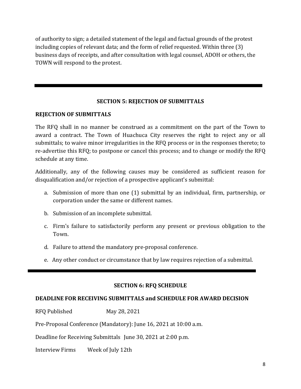of authority to sign; a detailed statement of the legal and factual grounds of the protest including copies of relevant data; and the form of relief requested. Within three (3) business days of receipts, and after consultation with legal counsel, ADOH or others, the TOWN will respond to the protest.

## **SECTION 5: REJECTION OF SUBMITTALS**

## **REJECTION OF SUBMITTALS**

The RFQ shall in no manner be construed as a commitment on the part of the Town to award a contract. The Town of Huachuca City reserves the right to reject any or all submittals; to waive minor irregularities in the RFQ process or in the responses thereto; to re-advertise this RFQ; to postpone or cancel this process; and to change or modify the RFQ schedule at any time.

Additionally, any of the following causes may be considered as sufficient reason for disqualification and/or rejection of a prospective applicant's submittal:

- a. Submission of more than one (1) submittal by an individual, firm, partnership, or corporation under the same or different names.
- b. Submission of an incomplete submittal.
- c. Firm's failure to satisfactorily perform any present or previous obligation to the Town.
- d. Failure to attend the mandatory pre-proposal conference.
- e. Any other conduct or circumstance that by law requires rejection of a submittal.

## **SECTION 6: RFQ SCHEDULE**

## **DEADLINE FOR RECEIVING SUBMITTALS and SCHEDULE FOR AWARD DECISION**

RFQ Published May 28, 2021

Pre-Proposal Conference (Mandatory): June 16, 2021 at 10:00 a.m.

Deadline for Receiving Submittals June 30, 2021 at 2:00 p.m.

Interview Firms Week of July 12th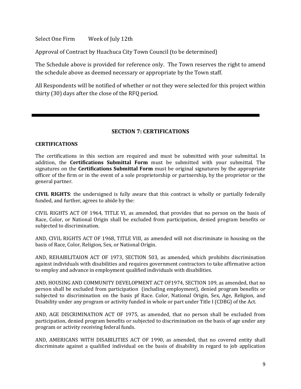Select One Firm Week of July 12th

Approval of Contract by Huachuca City Town Council (to be determined)

The Schedule above is provided for reference only. The Town reserves the right to amend the schedule above as deemed necessary or appropriate by the Town staff.

All Respondents will be notified of whether or not they were selected for this project within thirty (30) days after the close of the RFQ period.

## **SECTION 7: CERTIFICATIONS**

#### **CERTIFICATIONS**

The certifications in this section are required and must be submitted with your submittal. In addition, the **Certifications Submittal Form** must be submitted with your submittal. The signatures on the **Certifications Submittal Form** must be original signatures by the appropriate officer of the firm or in the event of a sole proprietorship or partnership, by the proprietor or the general partner.

**CIVIL RIGHTS**: the undersigned is fully aware that this contract is wholly or partially federally funded, and further, agrees to abide by the:

CIVIL RIGHTS ACT OF 1964, TITLE VI, as amended, that provides that no person on the basis of Race, Color, or National Origin shall be excluded from participation, denied program benefits or subjected to discrimination.

AND, CIVIL RIGHTS ACT OF 1968, TITLE VIII, as amended will not discriminate in housing on the basis of Race, Color, Religion, Sex, or National Origin.

AND, REHABILITAION ACT OF 1973, SECTION 503, as amended, which prohibits discrimination against individuals with disabilities and requires government contractors to take affirmative action to employ and advance in employment qualified individuals with disabilities.

AND, HOUSING AND COMMUNITY DEVELOPMENT ACT OF1974, SECTION 109, as amended, that no person shall be excluded from participation (including employment), denied program benefits or subjected to discrimination on the basis pf Race. Color, National Origin, Sex, Age, Religion, and Disability under any program or activity funded in whole or part under Title I (CDBG) of the Act.

AND, AGE DISCRIMINATION ACT OF 1975, as amended, that no person shall be excluded from participation, denied program benefits or subjected to discrimination on the basis of age under any program or activity receiving federal funds.

AND, AMERICANS WITH DISABILITIES ACT OF 1990, as amended, that no covered entity shall discriminate against a qualified individual on the basis of disability in regard to job application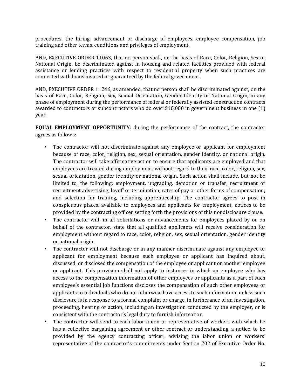procedures, the hiring, advancement or discharge of employees, employee compensation, job training and other terms, conditions and privileges of employment.

AND, EXECUTIVE ORDER 11063, that no person shall, on the basis of Race, Color, Religion, Sex or National Origin, be discriminated against in housing and related facilities provided with federal assistance or lending practices with respect to residential property when such practices are connected with loans insured or guaranteed by the federal government.

AND, EXECUTIVE ORDER 11246, as amended, that no person shall be discriminated against, on the basis of Race, Color, Religion, Sex, Sexual Orientation, Gender Identity or National Origin, in any phase of employment during the performance of federal or federally assisted construction contracts awarded to contractors or subcontractors who do over \$10,000 in government business in one (1) year.

**EQUAL EMPLOYMENT OPPORTUNITY**: during the performance of the contract, the contractor agrees as follows:

- The contractor will not discriminate against any employee or applicant for employment because of race, color, religion, sex, sexual orientation, gender identity, or national origin. The contractor will take affirmative action to ensure that applicants are employed and that employees are treated during employment, without regard to their race, color, religion, sex, sexual orientation, gender identity or national origin. Such action shall include, but not be limited to, the following: employment, upgrading, demotion or transfer; recruitment or recruitment advertising; layoff or termination; rates of pay or other forms of compensation; and selection for training, including apprenticeship. The contractor agrees to post in conspicuous places, available to employees and applicants for employment, notices to be provided by the contracting officer setting forth the provisions of this nondisclosure clause.
- The contractor will, in all solicitations or advancements for employees placed by or on behalf of the contractor, state that all qualified applicants will receive consideration for employment without regard to race, color, religion, sex, sexual orientation, gender identity or national origin.
- The contractor will not discharge or in any manner discriminate against any employee or applicant for employment because such employee or applicant has inquired about, discussed, or disclosed the compensation of the employee or applicant or another employee or applicant. This provision shall not apply to instances in which an employee who has access to the compensation information of other employees or applicants as a part of such employee's essential job functions discloses the compensation of such other employees or applicants to individuals who do not otherwise have access to such information, unless such disclosure is in response to a formal complaint or charge, in furtherance of an investigation, proceeding, hearing or action, including an investigation conducted by the employer, or is consistent with the contractor's legal duty to furnish information.
- The contractor will send to each labor union or representative of workers with which he has a collective bargaining agreement or other contract or understanding, a notice, to be provided by the agency contracting officer, advising the labor union or workers' representative of the contractor's commitments under Section 202 of Executive Order No.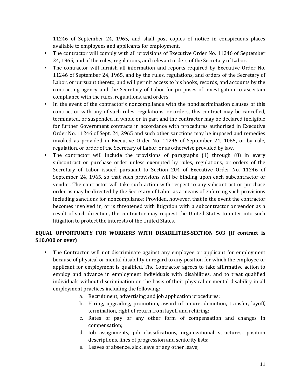11246 of September 24, 1965, and shall post copies of notice in conspicuous places available to employees and applicants for employment.

- The contractor will comply with all provisions of Executive Order No. 11246 of September 24, 1965, and of the rules, regulations, and relevant orders of the Secretary of Labor.
- The contractor will furnish all information and reports required by Executive Order No. 11246 of September 24, 1965, and by the rules, regulations, and orders of the Secretary of Labor, or pursuant thereto, and will permit access to his books, records, and accounts by the contracting agency and the Secretary of Labor for purposes of investigation to ascertain compliance with the rules, regulations, and orders.
- In the event of the contractor's noncompliance with the nondiscrimination clauses of this contract or with any of such rules, regulations, or orders, this contract may be cancelled, terminated, or suspended in whole or in part and the contractor may be declared ineligible for further Government contracts in accordance with procedures authorized in Executive Order No. 11246 of Sept. 24, 2965 and such other sanctions may be imposed and remedies invoked as provided in Executive Order No. 11246 of September 24, 1065, or by rule, regulation, or order of the Secretary of Labor, or as otherwise provided by law.
- The contractor will include the provisions of paragraphs (1) through (8) in every subcontract or purchase order unless exempted by rules, regulations, or orders of the Secretary of Labor issued pursuant to Section 204 of Executive Order No. 11246 of September 24, 1965, so that such provisions will be binding upon each subcontractor or vendor. The contractor will take such action with respect to any subcontract or purchase order as may be directed by the Secretary of Labor as a means of enforcing such provisions including sanctions for noncompliance: Provided, however, that in the event the contractor becomes involved in, or is threatened with litigation with a subcontractor or vendor as a result of such direction, the contractor may request the United States to enter into such litigation to protect the interests of the United States.

## **EQUAL OPPORTUNITY FOR WORKERS WITH DISABILITIES-SECTION 503 (if contract is \$10,000 or over)**

- The Contractor will not discriminate against any employee or applicant for employment because of physical or mental disability in regard to any position for which the employee or applicant for employment is qualified. The Contractor agrees to take affirmative action to employ and advance in employment individuals with disabilities, and to treat qualified individuals without discrimination on the basis of their physical or mental disability in all employment practices including the following:
	- a. Recruitment, advertising and job application procedures;
	- b. Hiring, upgrading, promotion, award of tenure, demotion, transfer, layoff, termination, right of return from layoff and rehiring;
	- c. Rates of pay or any other form of compensation and changes in compensation;
	- d. Job assignments, job classifications, organizational structures, position descriptions, lines of progression and seniority lists;
	- e. Leaves of absence, sick leave or any other leave;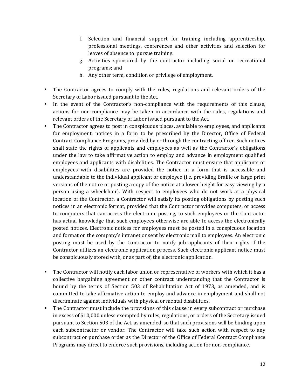- f. Selection and financial support for training including apprenticeship, professional meetings, conferences and other activities and selection for leaves of absence to pursue training.
- g. Activities sponsored by the contractor including social or recreational programs; and
- h. Any other term, condition or privilege of employment.
- The Contractor agrees to comply with the rules, regulations and relevant orders of the Secretary of Labor issued pursuant to the Act.
- In the event of the Contractor's non-compliance with the requirements of this clause, actions for non-compliance may be taken in accordance with the rules, regulations and relevant orders of the Secretary of Labor issued pursuant to the Act.
- The Contractor agrees to post in conspicuous places, available to employees, and applicants for employment, notices in a form to be prescribed by the Director, Office of Federal Contract Compliance Programs, provided by or through the contracting officer. Such notices shall state the rights of applicants and employees as well as the Contractor's obligations under the law to take affirmative action to employ and advance in employment qualified employees and applicants with disabilities. The Contractor must ensure that applicants or employees with disabilities are provided the notice in a form that is accessible and understandable to the individual applicant or employee (i.e. providing Braille or large print versions of the notice or posting a copy of the notice at a lower height for easy viewing by a person using a wheelchair). With respect to employees who do not work at a physical location of the Contractor, a Contractor will satisfy its posting obligations by posting such notices in an electronic format, provided that the Contractor provides computers, or access to computers that can access the electronic posting, to such employees or the Contractor has actual knowledge that such employees otherwise are able to access the electronically posted notices. Electronic notices for employees must be posted in a conspicuous location and format on the company's intranet or sent by electronic mail to employees. An electronic posting must be used by the Contractor to notify job applicants of their rights if the Contractor utilizes an electronic application process. Such electronic applicant notice must be conspicuously stored with, or as part of, the electronic application.
- The Contractor will notify each labor union or representative of workers with which it has a collective bargaining agreement or other contract understanding that the Contractor is bound by the terms of Section 503 of Rehabilitation Act of 1973, as amended, and is committed to take affirmative action to employ and advance in employment and shall not discriminate against individuals with physical or mental disabilities.
- The Contractor must include the provisions of this clause in every subcontract or purchase in excess of \$10,000 unless exempted by rules, regulations, or orders of the Secretary issued pursuant to Section 503 of the Act, as amended, so that such provisions will be binding upon each subcontractor or vendor. The Contractor will take such action with respect to any subcontract or purchase order as the Director of the Office of Federal Contract Compliance Programs may direct to enforce such provisions, including action for non-compliance.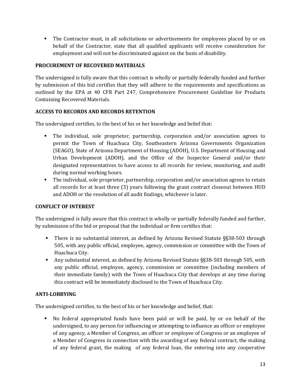The Contractor must, in all solicitations or advertisements for employees placed by or on behalf of the Contractor, state that all qualified applicants will receive consideration for employment and will not be discriminated against on the basis of disability.

#### **PROCUREMENT OF RECOVERED MATERIALS**

The undersigned is fully aware that this contract is wholly or partially federally funded and further by submission of this bid certifies that they will adhere to the requirements and specifications as outlined by the EPA at 40 CFR Part 247, Comprehensive Procurement Guideline for Products Containing Recovered Materials.

## **ACCESS TO RECORDS AND RECORDS RETENTION**

The undersigned certifies, to the best of his or her knowledge and belief that:

- The individual, sole proprietor, partnership, corporation and/or association agrees to permit the Town of Huachuca City, Southeastern Arizona Governments Organization (SEAGO), State of Arizona Department of Housing (ADOH), U.S. Department of Housing and Urban Development (ADOH), and the Office of the Inspector General and/or their designated representatives to have access to all records for review, monitoring, and audit during normal working hours.
- The individual, sole proprietor, partnership, corporation and/or association agrees to retain all records for at least three (3) years following the grant contract closeout between HUD and ADOH or the resolution of all audit findings, whichever is later.

## **CONFLICT OF INTEREST**

The undersigned is fully aware that this contract is wholly or partially federally funded and further, by submission of the bid or proposal that the individual or firm certifies that:

- There is no substantial interest, as defined by Arizona Revised Statute §§38-503 through 505, with any public official, employee, agency, commission or committee with the Town of Huachuca City.
- Any substantial interest, as defined by Arizona Revised Statute §§38-503 through 505, with any public official, employee, agency, commission or committee (including members of their immediate family) with the Town of Huachuca City that develops at any time during this contract will be immediately disclosed to the Town of Huachuca City.

#### **ANTI-LOBBYING**

The undersigned certifies, to the best of his or her knowledge and belief, that:

 No federal appropriated funds have been paid or will be paid, by or on behalf of the undersigned, to any person for influencing or attempting to influence an officer or employee of any agency, a Member of Congress, an officer or employee of Congress or an employee of a Member of Congress in connection with the awarding of any federal contract, the making of any federal grant, the making of any federal loan, the entering into any cooperative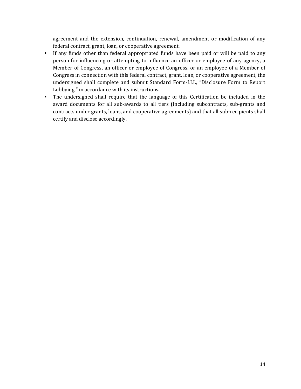agreement and the extension, continuation, renewal, amendment or modification of any federal contract, grant, loan, or cooperative agreement.

- If any funds other than federal appropriated funds have been paid or will be paid to any person for influencing or attempting to influence an officer or employee of any agency, a Member of Congress, an officer or employee of Congress, or an employee of a Member of Congress in connection with this federal contract, grant, loan, or cooperative agreement, the undersigned shall complete and submit Standard Form-LLL, "Disclosure Form to Report Lobbying," in accordance with its instructions.
- The undersigned shall require that the language of this Certification be included in the award documents for all sub-awards to all tiers (including subcontracts, sub-grants and contracts under grants, loans, and cooperative agreements) and that all sub-recipients shall certify and disclose accordingly.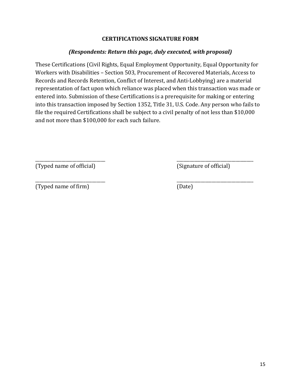## **CERTIFICATIONS SIGNATURE FORM**

## *(Respondents: Return this page, duly executed, with proposal)*

These Certifications (Civil Rights, Equal Employment Opportunity, Equal Opportunity for Workers with Disabilities – Section 503, Procurement of Recovered Materials, Access to Records and Records Retention, Conflict of Interest, and Anti-Lobbying) are a material representation of fact upon which reliance was placed when this transaction was made or entered into. Submission of these Certifications is a prerequisite for making or entering into this transaction imposed by Section 1352, Title 31, U.S. Code. Any person who fails to file the required Certifications shall be subject to a civil penalty of not less than \$10,000 and not more than \$100,000 for each such failure.

 $\overline{\phantom{a}}$  , and the contract of the contract of the contract of the contract of the contract of the contract of the contract of the contract of the contract of the contract of the contract of the contract of the contrac (Typed name of official) (Signature of official)

 $\overline{\phantom{a}}$  , and the contract of the contract of the contract of the contract of the contract of the contract of the contract of the contract of the contract of the contract of the contract of the contract of the contrac (Typed name of firm) (Date)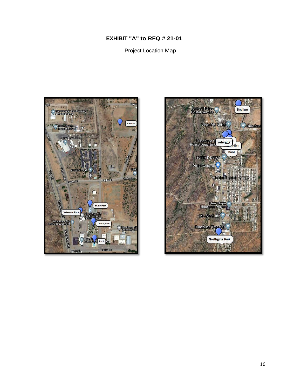## **EXHIBIT "A" to RFQ # 21-01**

Project Location Map



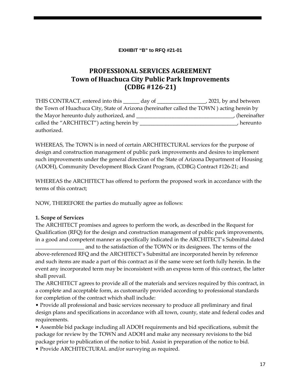#### **EXHIBIT "B" to RFQ #21-01**

## **PROFESSIONAL SERVICES AGREEMENT Town of Huachuca City Public Park Improvements (CDBG #126-21)**

THIS CONTRACT, entered into this \_\_\_\_\_\_ day of \_\_\_\_\_\_\_\_\_\_\_\_\_\_\_\_\_\_, 2021*,* by and between the Town of Huachuca City, State of Arizona (hereinafter called the TOWN ) acting herein by the Mayor hereunto duly authorized, and \_\_\_\_\_\_\_\_\_\_\_\_\_\_\_\_\_\_\_\_\_\_\_\_\_\_\_\_\_\_\_\_\_\_\_\_, (hereinafter called the "ARCHITECT") acting herein by \_\_\_\_\_\_\_\_\_\_\_\_\_\_\_\_\_\_\_\_\_\_\_\_\_\_\_\_\_\_\_\_\_, hereunto authorized.

WHEREAS, The TOWN is in need of certain ARCHITECTURAL services for the purpose of design and construction management of public park improvements and desires to implement such improvements under the general direction of the State of Arizona Department of Housing (ADOH), Community Development Block Grant Program, (CDBG) Contract #126-21; and

WHEREAS the ARCHITECT has offered to perform the proposed work in accordance with the terms of this contract;

NOW, THEREFORE the parties do mutually agree as follows:

#### **1. Scope of Services**

The ARCHITECT promises and agrees to perform the work, as described in the Request for Qualification (RFQ) for the design and construction management of public park improvements, in a good and competent manner as specifically indicated in the ARCHITECT's Submittal dated

and to the satisfaction of the TOWN or its designees. The terms of the above-referenced RFQ and the ARCHITECT's Submittal are incorporated herein by reference and such items are made a part of this contract as if the same were set forth fully herein. In the event any incorporated term may be inconsistent with an express term of this contract, the latter shall prevail.

The ARCHITECT agrees to provide all of the materials and services required by this contract, in a complete and acceptable form, as customarily provided according to professional standards for completion of the contract which shall include:

• Provide all professional and basic services necessary to produce all preliminary and final design plans and specifications in accordance with all town, county, state and federal codes and requirements.

• Assemble bid package including all ADOH requirements and bid specifications, submit the package for review by the TOWN and ADOH and make any necessary revisions to the bid package prior to publication of the notice to bid. Assist in preparation of the notice to bid.

• Provide ARCHITECTURAL and/or surveying as required.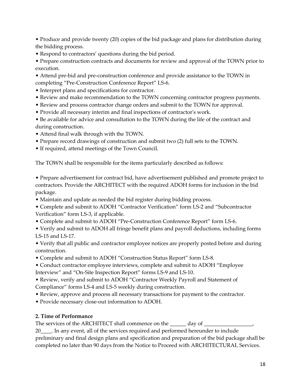• Produce and provide twenty (20) copies of the bid package and plans for distribution during the bidding process.

• Respond to contractors' questions during the bid period.

• Prepare construction contracts and documents for review and approval of the TOWN prior to execution.

- Attend pre-bid and pre-construction conference and provide assistance to the TOWN in completing "Pre-Construction Conference Report" LS-6.
- Interpret plans and specifications for contractor.
- Review and make recommendation to the TOWN concerning contractor progress payments.
- Review and process contractor change orders and submit to the TOWN for approval.
- Provide all necessary interim and final inspections of contractor's work.

• Be available for advice and consultation to the TOWN during the life of the contract and during construction.

- Attend final walk through with the TOWN.
- Prepare record drawings of construction and submit two (2) full sets to the TOWN.
- If required, attend meetings of the Town Council.

The TOWN shall be responsible for the items particularly described as follows:

• Prepare advertisement for contract bid, have advertisement published and promote project to contractors. Provide the ARCHITECT with the required ADOH forms for inclusion in the bid package.

• Maintain and update as needed the bid register during bidding process.

• Complete and submit to ADOH "Contractor Verification" form LS-2 and "Subcontractor Verification" form LS-3, if applicable.

• Complete and submit to ADOH "Pre-Construction Conference Report" form LS-6.

• Verify and submit to ADOH all fringe benefit plans and payroll deductions, including forms LS-15 and LS-17.

• Verify that all public and contractor employee notices are properly posted before and during construction.

• Complete and submit to ADOH "Construction Status Report" form LS-8.

• Conduct contractor employee interviews, complete and submit to ADOH "Employee Interview" and "On-Site Inspection Report" forms LS-9 and LS-10.

• Review, verify and submit to ADOH "Contractor Weekly Payroll and Statement of Compliance" forms LS-4 and LS-5 weekly during construction.

- Review, approve and process all necessary transactions for payment to the contractor.
- Provide necessary close-out information to ADOH.

## **2. Time of Performance**

The services of the ARCHITECT shall commence on the \_\_\_\_\_\_ day of \_\_\_\_\_\_\_\_\_\_\_\_\_\_

20\_\_\_\_. In any event, all of the services required and performed hereunder to include preliminary and final design plans and specification and preparation of the bid package shall be completed no later than 90 days from the Notice to Proceed with ARCHITECTURAL Services.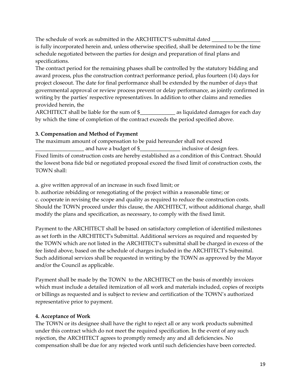The schedule of work as submitted in the ARCHITECT'S submittal dated is fully incorporated herein and, unless otherwise specified, shall be determined to be the time schedule negotiated between the parties for design and preparation of final plans and specifications.

The contract period for the remaining phases shall be controlled by the statutory bidding and award process, plus the construction contract performance period, plus fourteen (14) days for project closeout. The date for final performance shall be extended by the number of days that governmental approval or review process prevent or delay performance, as jointly confirmed in writing by the parties' respective representatives. In addition to other claims and remedies provided herein, the

ARCHITECT shall be liable for the sum of  $\$\$  as liquidated damages for each day by which the time of completion of the contract exceeds the period specified above.

## **3. Compensation and Method of Payment**

The maximum amount of compensation to be paid hereunder shall not exceed and have a budget of \$\_\_\_\_\_\_\_\_\_\_\_\_\_\_\_\_\_\_ inclusive of design fees. Fixed limits of construction costs are hereby established as a condition of this Contract. Should the lowest bona fide bid or negotiated proposal exceed the fixed limit of construction costs, the TOWN shall:

a. give written approval of an increase in such fixed limit; or

b. authorize rebidding or renegotiating of the project within a reasonable time; or c. cooperate in revising the scope and quality as required to reduce the construction costs. Should the TOWN proceed under this clause, the ARCHITECT, without additional charge, shall modify the plans and specification, as necessary, to comply with the fixed limit.

Payment to the ARCHITECT shall be based on satisfactory completion of identified milestones as set forth in the ARCHITECT's Submittal. Additional services as required and requested by the TOWN which are not listed in the ARCHITECT's submittal shall be charged in excess of the fee listed above, based on the schedule of charges included in the ARCHITECT's Submittal. Such additional services shall be requested in writing by the TOWN as approved by the Mayor and/or the Council as applicable.

Payment shall be made by the TOWN to the ARCHITECT on the basis of monthly invoices which must include a detailed itemization of all work and materials included, copies of receipts or billings as requested and is subject to review and certification of the TOWN's authorized representative prior to payment.

## **4. Acceptance of Work**

The TOWN or its designee shall have the right to reject all or any work products submitted under this contract which do not meet the required specification. In the event of any such rejection, the ARCHITECT agrees to promptly remedy any and all deficiencies. No compensation shall be due for any rejected work until such deficiencies have been corrected.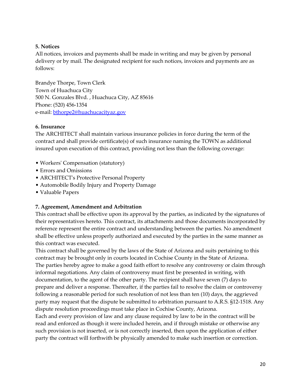## **5. Notices**

All notices, invoices and payments shall be made in writing and may be given by personal delivery or by mail. The designated recipient for such notices, invoices and payments are as follows:

Brandye Thorpe, Town Clerk Town of Huachuca City 500 N. Gonzales Blvd. , Huachuca City, AZ 85616 Phone: (520) 456-1354 e-mail: [bthorpe2@huachucacityaz.gov](mailto:bthorpe2@huachucacityaz.gov)

#### **6. Insurance**

The ARCHITECT shall maintain various insurance policies in force during the term of the contract and shall provide certificate(s) of such insurance naming the TOWN as additional insured upon execution of this contract, providing not less than the following coverage:

- Workers' Compensation (statutory)
- Errors and Omissions
- ARCHITECT's Protective Personal Property
- Automobile Bodily Injury and Property Damage
- Valuable Papers

## **7. Agreement, Amendment and Arbitration**

This contract shall be effective upon its approval by the parties, as indicated by the signatures of their representatives hereto. This contract, its attachments and those documents incorporated by reference represent the entire contract and understanding between the parties. No amendment shall be effective unless properly authorized and executed by the parties in the same manner as this contract was executed.

This contract shall be governed by the laws of the State of Arizona and suits pertaining to this contract may be brought only in courts located in Cochise County in the State of Arizona. The parties hereby agree to make a good faith effort to resolve any controversy or claim through informal negotiations. Any claim of controversy must first be presented in writing, with documentation, to the agent of the other party. The recipient shall have seven (7) days to prepare and deliver a response. Thereafter, if the parties fail to resolve the claim or controversy following a reasonable period for such resolution of not less than ten (10) days, the aggrieved party may request that the dispute be submitted to arbitration pursuant to A.R.S. §12-1518. Any dispute resolution proceedings must take place in Cochise County, Arizona.

Each and every provision of law and any clause required by law to be in the contract will be read and enforced as though it were included herein, and if through mistake or otherwise any such provision is not inserted, or is not correctly inserted, then upon the application of either party the contract will forthwith be physically amended to make such insertion or correction.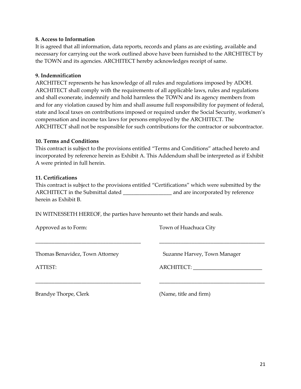## **8. Access to Information**

It is agreed that all information, data reports, records and plans as are existing, available and necessary for carrying out the work outlined above have been furnished to the ARCHITECT by the TOWN and its agencies. ARCHITECT hereby acknowledges receipt of same.

## **9. Indemnification**

ARCHITECT represents he has knowledge of all rules and regulations imposed by ADOH. ARCHITECT shall comply with the requirements of all applicable laws, rules and regulations and shall exonerate, indemnify and hold harmless the TOWN and its agency members from and for any violation caused by him and shall assume full responsibility for payment of federal, state and local taxes on contributions imposed or required under the Social Security, workmen's compensation and income tax laws for persons employed by the ARCHITECT. The ARCHITECT shall not be responsible for such contributions for the contractor or subcontractor.

## **10. Terms and Conditions**

This contract is subject to the provisions entitled "Terms and Conditions" attached hereto and incorporated by reference herein as Exhibit A. This Addendum shall be interpreted as if Exhibit A were printed in full herein.

## **11. Certifications**

This contract is subject to the provisions entitled "Certifications" which were submitted by the ARCHITECT in the Submittal dated \_\_\_\_\_\_\_\_\_\_\_\_\_\_\_\_\_\_ and are incorporated by reference herein as Exhibit B.

\_\_\_\_\_\_\_\_\_\_\_\_\_\_\_\_\_\_\_\_\_\_\_\_\_\_\_\_\_\_\_\_\_\_\_\_\_\_\_ \_\_\_\_\_\_\_\_\_\_\_\_\_\_\_\_\_\_\_\_\_\_\_\_\_\_\_\_\_\_\_\_\_\_\_\_\_\_\_

\_\_\_\_\_\_\_\_\_\_\_\_\_\_\_\_\_\_\_\_\_\_\_\_\_\_\_\_\_\_\_\_\_\_\_\_\_\_\_ \_\_\_\_\_\_\_\_\_\_\_\_\_\_\_\_\_\_\_\_\_\_\_\_\_\_\_\_\_\_\_\_\_\_\_\_\_\_\_

IN WITNESSETH HEREOF, the parties have hereunto set their hands and seals.

Approved as to Form: Town of Huachuca City

Thomas Benavidez, Town Attorney Suzanne Harvey, Town Manager

ATTEST: ARCHITECT: \_\_\_\_\_\_\_\_\_\_\_\_\_\_\_\_\_\_\_\_\_\_\_\_\_\_

Brandye Thorpe, Clerk (Name, title and firm)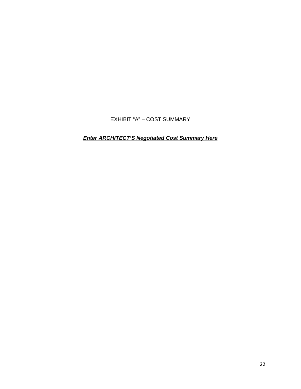EXHIBIT "A" – COST SUMMARY

*Enter ARCHITECT'S Negotiated Cost Summary Here*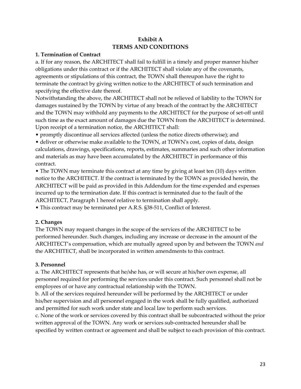## **Exhibit A TERMS AND CONDITIONS**

#### **1. Termination of Contract**

a. If for any reason, the ARCHITECT shall fail to fulfill in a timely and proper manner his/her obligations under this contract or if the ARCHITECT shall violate any of the covenants, agreements or stipulations of this contract, the TOWN shall thereupon have the right to terminate the contract by giving written notice to the ARCHITECT of such termination and specifying the effective date thereof.

Notwithstanding the above, the ARCHITECT shall not be relieved of liability to the TOWN for damages sustained by the TOWN by virtue of any breach of the contract by the ARCHITECT and the TOWN may withhold any payments to the ARCHITECT for the purpose of set-off until such time as the exact amount of damages due the TOWN from the ARCHITECT is determined. Upon receipt of a termination notice, the ARCHITECT shall:

• promptly discontinue all services affected (unless the notice directs otherwise); and

• deliver or otherwise make available to the TOWN, at TOWN's cost, copies of data, design calculations, drawings, specifications, reports, estimates, summaries and such other information and materials as may have been accumulated by the ARCHITECT in performance of this contract.

• The TOWN may terminate this contract at any time by giving at least ten (10) days written notice to the ARCHITECT. If the contract is terminated by the TOWN as provided herein, the ARCHITECT will be paid as provided in this Addendum for the time expended and expenses incurred up to the termination date. If this contract is terminated due to the fault of the ARCHITECT, Paragraph 1 hereof relative to termination shall apply.

• This contract may be terminated per A.R.S. §38-511, Conflict of Interest.

## **2. Changes**

The TOWN may request changes in the scope of the services of the ARCHITECT to be performed hereunder. Such changes, including any increase or decrease in the amount of the ARCHITECT's compensation, which are mutually agreed upon by and between the TOWN *and* the ARCHITECT, shall be incorporated in written amendments to this contract.

## **3. Personnel**

a. The ARCHITECT represents that he/she has, or will secure at his/her own expense, all personnel required for performing the services under this contract. Such personnel shall not be employees of or have any contractual relationship with the TOWN.

b. All of the services required hereunder will be performed by the ARCHITECT or under his/her supervision and all personnel engaged in the work shall be fully qualified, authorized and permitted for such work under state and local law to perform such services.

c. None of the work or services covered by this contract shall be subcontracted without the prior written approval of the TOWN. Any work or services sub-contracted hereunder shall be specified by written contract or agreement and shall be subject to each provision of this contract.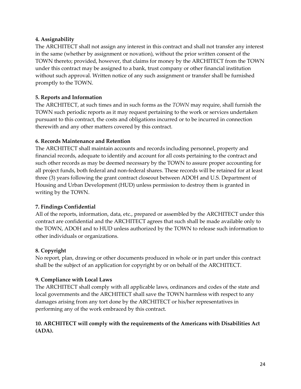## **4. Assignability**

The ARCHITECT shall not assign any interest in this contract and shall not transfer any interest in the same (whether by assignment or novation), without the prior written consent of the TOWN thereto; provided, however, that claims for money by the ARCHITECT from the TOWN under this contract may be assigned to a bank, trust company or other financial institution without such approval. Written notice of any such assignment or transfer shall be furnished promptly to the TOWN.

## **5. Reports and Information**

The ARCHITECT, at such times and in such forms as the *TOWN* may require, shall furnish the TOWN such periodic reports as it may request pertaining to the work or services undertaken pursuant to this contract, the costs and obligations incurred or to be incurred in connection therewith and any other matters covered by this contract.

## **6. Records Maintenance and Retention**

The ARCHITECT shall maintain accounts and records including personnel, property and financial records, adequate to identify and account for all costs pertaining to the contract and such other records as may be deemed necessary by the TOWN to assure proper accounting for all project funds, both federal and non-federal shares. These records will be retained for at least three (3) years following the grant contract closeout between ADOH and U.S. Department of Housing and Urban Development (HUD) unless permission to destroy them is granted in writing by the TOWN.

## **7. Findings Confidential**

All of the reports, information, data, etc., prepared or assembled by the ARCHITECT under this contract are confidential and the ARCHITECT agrees that such shall be made available only to the TOWN, ADOH and to HUD unless authorized by the TOWN to release such information to other individuals or organizations.

## **8. Copyright**

No report, plan, drawing or other documents produced in whole or in part under this contract shall be the subject of an application for copyright by or on behalf of the ARCHITECT.

## **9. Compliance with Local Laws**

The ARCHITECT shall comply with all applicable laws, ordinances and codes of the state and local governments and the ARCHITECT shall save the TOWN harmless with respect to any damages arising from any tort done by the ARCHITECT or his/her representatives in performing any of the work embraced by this contract.

## **10. ARCHITECT will comply with the requirements of the Americans with Disabilities Act (ADA).**